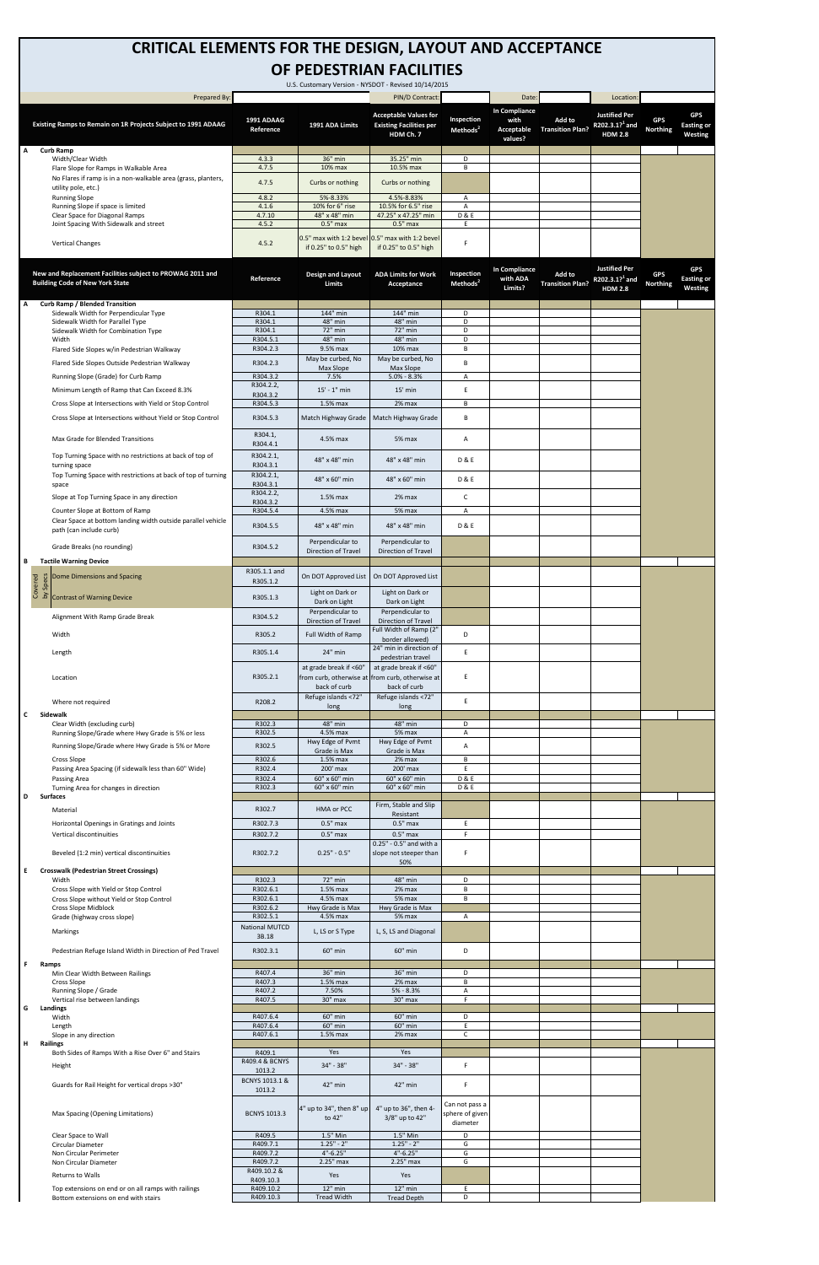| U.S. Customary Version - NYSDOT - Revised 10/14/2015 |                                                                                                        |                                |                                                                                           |                                                                             |                                    |                                                |                                   |                                                                      |                               |                                            |  |
|------------------------------------------------------|--------------------------------------------------------------------------------------------------------|--------------------------------|-------------------------------------------------------------------------------------------|-----------------------------------------------------------------------------|------------------------------------|------------------------------------------------|-----------------------------------|----------------------------------------------------------------------|-------------------------------|--------------------------------------------|--|
|                                                      | Prepared By:                                                                                           |                                |                                                                                           | PIN/D Contract                                                              |                                    | Date:                                          |                                   | Location:                                                            |                               |                                            |  |
|                                                      | Existing Ramps to Remain on 1R Projects Subject to 1991 ADAAG                                          | 1991 ADAAG<br>Reference        | 1991 ADA Limits                                                                           | <b>Acceptable Values for</b><br><b>Existing Facilities per</b><br>HDM Ch. 7 | Inspection<br>Methods <sup>2</sup> | In Compliance<br>with<br>Acceptable<br>values? | Add to<br><b>Transition Plan?</b> | <b>Justified Per</b><br>R202.3.1? <sup>1</sup> and<br><b>HDM 2.8</b> | <b>GPS</b><br><b>Northing</b> | <b>GPS</b><br><b>Easting or</b><br>Westing |  |
| А                                                    | <b>Curb Ramp</b><br>Width/Clear Width                                                                  | 4.3.3                          | 36" min                                                                                   | 35.25" min                                                                  | D                                  |                                                |                                   |                                                                      |                               |                                            |  |
|                                                      | Flare Slope for Ramps in Walkable Area                                                                 | 4.7.5                          | 10% max                                                                                   | 10.5% max                                                                   | B                                  |                                                |                                   |                                                                      |                               |                                            |  |
|                                                      | No Flares if ramp is in a non-walkable area (grass, planters,<br>utility pole, etc.)                   | 4.7.5                          | Curbs or nothing                                                                          | Curbs or nothing                                                            |                                    |                                                |                                   |                                                                      |                               |                                            |  |
|                                                      | <b>Running Slope</b>                                                                                   | 4.8.2                          | 5%-8.33%                                                                                  | 4.5%-8.83%                                                                  | A                                  |                                                |                                   |                                                                      |                               |                                            |  |
|                                                      | Running Slope if space is limited<br>Clear Space for Diagonal Ramps                                    | 4.1.6<br>4.7.10                | 10% for 6" rise<br>48" x 48" min                                                          | 10.5% for 6.5" rise<br>47.25" x 47.25" min                                  | Α<br><b>D&amp;E</b>                |                                                |                                   |                                                                      |                               |                                            |  |
|                                                      | Joint Spacing With Sidewalk and street                                                                 | 4.5.2                          | $0.5"$ max                                                                                | $0.5"$ max                                                                  | E.                                 |                                                |                                   |                                                                      |                               |                                            |  |
|                                                      | <b>Vertical Changes</b>                                                                                | 4.5.2                          | 0.5" max with 1:2 bevel 0.5" max with 1:2 bevel<br>if 0.25" to 0.5" high                  | if 0.25" to 0.5" high                                                       | F                                  |                                                |                                   |                                                                      |                               |                                            |  |
|                                                      | New and Replacement Facilities subject to PROWAG 2011 and<br><b>Building Code of New York State</b>    | Reference                      | Design and Layout<br><b>Limits</b>                                                        | <b>ADA Limits for Work</b><br>Acceptance                                    | Inspection<br>Methods <sup>2</sup> | In Compliance<br>with ADA<br>Limits?           | Add to<br><b>Transition Plan?</b> | <b>Justified Per</b><br>R202.3.1? <sup>1</sup> and<br><b>HDM 2.8</b> | <b>GPS</b><br><b>Northing</b> | <b>GPS</b><br><b>Easting or</b><br>Westing |  |
| А                                                    | <b>Curb Ramp / Blended Transition</b>                                                                  |                                |                                                                                           |                                                                             |                                    |                                                |                                   |                                                                      |                               |                                            |  |
|                                                      | Sidewalk Width for Perpendicular Type<br>Sidewalk Width for Parallel Type                              | R304.1<br>R304.1               | 144" min<br>48" min                                                                       | 144" min<br>48" min                                                         | D<br>D                             |                                                |                                   |                                                                      |                               |                                            |  |
|                                                      | Sidewalk Width for Combination Type                                                                    | R304.1                         | 72" min                                                                                   | 72" min                                                                     | D                                  |                                                |                                   |                                                                      |                               |                                            |  |
|                                                      | Width<br>Flared Side Slopes w/in Pedestrian Walkway                                                    | R304.5.1<br>R304.2.3           | 48" min<br>9.5% max                                                                       | 48" min<br>10% max                                                          | D<br>В                             |                                                |                                   |                                                                      |                               |                                            |  |
|                                                      |                                                                                                        |                                | May be curbed, No                                                                         | May be curbed, No                                                           |                                    |                                                |                                   |                                                                      |                               |                                            |  |
|                                                      | Flared Side Slopes Outside Pedestrian Walkway                                                          | R304.2.3                       | Max Slope                                                                                 | Max Slope                                                                   | B                                  |                                                |                                   |                                                                      |                               |                                            |  |
|                                                      | Running Slope (Grade) for Curb Ramp                                                                    | R304.3.2<br>R304.2.2,          | 7.5%                                                                                      | $5.0\% - 8.3\%$                                                             | Α                                  |                                                |                                   |                                                                      |                               |                                            |  |
|                                                      | Minimum Length of Ramp that Can Exceed 8.3%<br>Cross Slope at Intersections with Yield or Stop Control | R304.3.2<br>R304.5.3           | $15' - 1''$ min<br>1.5% max                                                               | $15'$ min<br>2% max                                                         | E.<br>B                            |                                                |                                   |                                                                      |                               |                                            |  |
|                                                      | Cross Slope at Intersections without Yield or Stop Control                                             | R304.5.3                       |                                                                                           | Match Highway Grade   Match Highway Grade                                   | B                                  |                                                |                                   |                                                                      |                               |                                            |  |
|                                                      | Max Grade for Blended Transitions                                                                      | R304.1,                        | 4.5% max                                                                                  | 5% max                                                                      | A                                  |                                                |                                   |                                                                      |                               |                                            |  |
|                                                      | Top Turning Space with no restrictions at back of top of                                               | R304.4.1<br>R304.2.1,          | 48" x 48" min                                                                             | 48" x 48" min                                                               | <b>D&amp;E</b>                     |                                                |                                   |                                                                      |                               |                                            |  |
|                                                      | turning space<br>Top Turning Space with restrictions at back of top of turning                         | R304.3.1<br>R304.2.1,          |                                                                                           |                                                                             |                                    |                                                |                                   |                                                                      |                               |                                            |  |
|                                                      | space                                                                                                  | R304.3.1                       | 48" x 60" min                                                                             | 48" x 60" min                                                               | <b>D&amp;E</b>                     |                                                |                                   |                                                                      |                               |                                            |  |
|                                                      | Slope at Top Turning Space in any direction                                                            | R304.2.2,<br>R304.3.2          | $1.5%$ max                                                                                | 2% max                                                                      | $\mathsf{C}$                       |                                                |                                   |                                                                      |                               |                                            |  |
|                                                      | Counter Slope at Bottom of Ramp<br>Clear Space at bottom landing width outside parallel vehicle        | R304.5.4<br>R304.5.5           | 4.5% max<br>48" x 48" min                                                                 | 5% max<br>48" x 48" min                                                     | Α<br><b>D&amp;E</b>                |                                                |                                   |                                                                      |                               |                                            |  |
|                                                      | path (can include curb)                                                                                |                                | Perpendicular to                                                                          | Perpendicular to                                                            |                                    |                                                |                                   |                                                                      |                               |                                            |  |
| В                                                    | Grade Breaks (no rounding)<br><b>Tactile Warning Device</b>                                            | R304.5.2                       | Direction of Travel                                                                       | <b>Direction of Travel</b>                                                  |                                    |                                                |                                   |                                                                      |                               |                                            |  |
|                                                      | Dome Dimensions and Spacing                                                                            | R305.1.1 and<br>R305.1.2       | On DOT Approved List                                                                      | On DOT Approved List                                                        |                                    |                                                |                                   |                                                                      |                               |                                            |  |
|                                                      | a come Dimensions and Space<br>s a comparation of Warning Device<br>C 2 Contrast of Warning Device     | R305.1.3                       | Light on Dark or                                                                          | Light on Dark or                                                            |                                    |                                                |                                   |                                                                      |                               |                                            |  |
|                                                      |                                                                                                        |                                | Dark on Light<br>Perpendicular to                                                         | Dark on Light<br>Perpendicular to                                           |                                    |                                                |                                   |                                                                      |                               |                                            |  |
|                                                      | Alignment With Ramp Grade Break                                                                        | R304.5.2                       | Direction of Travel                                                                       | Direction of Travel                                                         |                                    |                                                |                                   |                                                                      |                               |                                            |  |
|                                                      | Width                                                                                                  | R305.2                         | Full Width of Ramp                                                                        | Full Width of Ramp (2"<br>border allowed)                                   | D                                  |                                                |                                   |                                                                      |                               |                                            |  |
|                                                      | Length                                                                                                 | R305.1.4                       | 24" min                                                                                   | 24" min in direction of<br>pedestrian travel                                | E.                                 |                                                |                                   |                                                                      |                               |                                            |  |
|                                                      | Location                                                                                               | R305.2.1                       | at grade break if <60"<br>from curb, otherwise at from curb, otherwise at<br>back of curb | at grade break if <60"<br>back of curb                                      | E                                  |                                                |                                   |                                                                      |                               |                                            |  |
|                                                      | Where not required                                                                                     | R208.2                         | Refuge islands <72"<br>long                                                               | Refuge islands <72"<br>long                                                 | E.                                 |                                                |                                   |                                                                      |                               |                                            |  |
| c                                                    | Sidewalk<br>Clear Width (excluding curb)                                                               | R302.3                         | 48" min                                                                                   | 48" min                                                                     | D                                  |                                                |                                   |                                                                      |                               |                                            |  |
|                                                      | Running Slope/Grade where Hwy Grade is 5% or less                                                      | R302.5                         | 4.5% max<br>Hwy Edge of Pvmt                                                              | 5% max<br>Hwy Edge of Pvmt                                                  | A                                  |                                                |                                   |                                                                      |                               |                                            |  |
|                                                      | Running Slope/Grade where Hwy Grade is 5% or More                                                      | R302.5                         | Grade is Max                                                                              | Grade is Max                                                                | Α                                  |                                                |                                   |                                                                      |                               |                                            |  |
|                                                      | <b>Cross Slope</b>                                                                                     | R302.6                         | 1.5% max                                                                                  | 2% max<br>200' max                                                          | В<br>E                             |                                                |                                   |                                                                      |                               |                                            |  |
|                                                      | Passing Area Spacing (if sidewalk less than 60" Wide)<br>Passing Area                                  | R302.4<br>R302.4               | 200' max<br>60" x 60" min                                                                 | 60" x 60" min                                                               | <b>D&amp;E</b>                     |                                                |                                   |                                                                      |                               |                                            |  |
|                                                      | Turning Area for changes in direction                                                                  | R302.3                         | 60" x 60" min                                                                             | 60" x 60" min                                                               | <b>D&amp;E</b>                     |                                                |                                   |                                                                      |                               |                                            |  |
| D                                                    | <b>Surfaces</b><br>Material                                                                            | R302.7                         | <b>HMA or PCC</b>                                                                         | Firm, Stable and Slip                                                       |                                    |                                                |                                   |                                                                      |                               |                                            |  |
|                                                      | Horizontal Openings in Gratings and Joints                                                             | R302.7.3                       | $0.5"$ max                                                                                | Resistant<br>$0.5"$ max                                                     | E.                                 |                                                |                                   |                                                                      |                               |                                            |  |
|                                                      | Vertical discontinuities                                                                               | R302.7.2                       | $0.5"$ max                                                                                | $0.5"$ max<br>0.25" - 0.5" and with a                                       | F.                                 |                                                |                                   |                                                                      |                               |                                            |  |
|                                                      | Beveled (1:2 min) vertical discontinuities                                                             | R302.7.2                       | $0.25" - 0.5"$                                                                            | slope not steeper than<br>50%                                               | F                                  |                                                |                                   |                                                                      |                               |                                            |  |
| E                                                    | <b>Crosswalk (Pedestrian Street Crossings)</b>                                                         |                                |                                                                                           |                                                                             |                                    |                                                |                                   |                                                                      |                               |                                            |  |
|                                                      | Width<br>Cross Slope with Yield or Stop Control                                                        | R302.3<br>R302.6.1             | 72" min<br>1.5% max                                                                       | 48" min<br>2% max                                                           | D<br>B                             |                                                |                                   |                                                                      |                               |                                            |  |
|                                                      | Cross Slope without Yield or Stop Control<br>Cross Slope Midblock                                      | R302.6.1<br>R302.6.2           | 4.5% max<br>Hwy Grade is Max                                                              | 5% max<br>Hwy Grade is Max                                                  | B                                  |                                                |                                   |                                                                      |                               |                                            |  |
|                                                      | Grade (highway cross slope)                                                                            | R302.5.1                       | 4.5% max                                                                                  | 5% max                                                                      | A                                  |                                                |                                   |                                                                      |                               |                                            |  |
|                                                      | Markings                                                                                               | <b>National MUTCD</b><br>3B.18 | L, LS or S Type                                                                           | L, S, LS and Diagonal                                                       |                                    |                                                |                                   |                                                                      |                               |                                            |  |
|                                                      | Pedestrian Refuge Island Width in Direction of Ped Travel                                              | R302.3.1                       | 60" min                                                                                   | 60" min                                                                     | D                                  |                                                |                                   |                                                                      |                               |                                            |  |
| F                                                    | Ramps<br>Min Clear Width Between Railings                                                              | R407.4                         | 36" min                                                                                   | 36" min                                                                     | D                                  |                                                |                                   |                                                                      |                               |                                            |  |
|                                                      | Cross Slope                                                                                            | R407.3                         | 1.5% max                                                                                  | 2% max                                                                      | В                                  |                                                |                                   |                                                                      |                               |                                            |  |
|                                                      | Running Slope / Grade<br>Vertical rise between landings                                                | R407.2<br>R407.5               | 7.50%<br>30" max                                                                          | 5% - 8.3%<br>30" max                                                        | Α<br>F                             |                                                |                                   |                                                                      |                               |                                            |  |
| G                                                    | Landings                                                                                               |                                |                                                                                           |                                                                             |                                    |                                                |                                   |                                                                      |                               |                                            |  |
|                                                      | Width<br>Length                                                                                        | R407.6.4<br>R407.6.4           | 60" min<br>60" min                                                                        | 60" min<br>60" min                                                          | D<br>E                             |                                                |                                   |                                                                      |                               |                                            |  |
| н                                                    | Slope in any direction<br>Railings                                                                     | R407.6.1                       | 1.5% max                                                                                  | 2% max                                                                      | $\mathsf{C}$                       |                                                |                                   |                                                                      |                               |                                            |  |
|                                                      | Both Sides of Ramps With a Rise Over 6" and Stairs                                                     | R409.1<br>R409.4 & BCNYS       | Yes                                                                                       | Yes                                                                         |                                    |                                                |                                   |                                                                      |                               |                                            |  |
|                                                      | Height                                                                                                 | 1013.2<br>BCNYS 1013.1 &       | 34" - 38"                                                                                 | $34" - 38"$                                                                 | F                                  |                                                |                                   |                                                                      |                               |                                            |  |
|                                                      | Guards for Rail Height for vertical drops >30"                                                         | 1013.2                         | 42" min                                                                                   | 42" min                                                                     | F.                                 |                                                |                                   |                                                                      |                               |                                            |  |
|                                                      | Max Spacing (Opening Limitations)                                                                      | <b>BCNYS 1013.3</b>            | 4" up to 34", then 8" up<br>to 42"                                                        | 4" up to 36", then 4-<br>3/8" up to 42"                                     | Can not pass a<br>sphere of given  |                                                |                                   |                                                                      |                               |                                            |  |
|                                                      | Clear Space to Wall                                                                                    | R409.5                         | 1.5" Min                                                                                  | 1.5" Min                                                                    | diameter<br>D                      |                                                |                                   |                                                                      |                               |                                            |  |
|                                                      | Circular Diameter<br>Non Circular Perimeter                                                            | R409.7.1<br>R409.7.2           | $1.25" - 2"$<br>$4" - 6.25"$                                                              | $1.25" - 2"$<br>$4" - 6.25"$                                                | G<br>G                             |                                                |                                   |                                                                      |                               |                                            |  |
|                                                      | Non Circular Diameter                                                                                  | R409.7.2                       | 2.25" max                                                                                 | 2.25" max                                                                   | G                                  |                                                |                                   |                                                                      |                               |                                            |  |
|                                                      | Returns to Walls                                                                                       | R409.10.2 &<br>R409.10.3       | Yes                                                                                       | Yes                                                                         |                                    |                                                |                                   |                                                                      |                               |                                            |  |
|                                                      | Top extensions on end or on all ramps with railings<br>Bottom extensions on end with stairs            | R409.10.2<br>R409.10.3         | 12" min<br>Tread Width                                                                    | $12"$ min<br><b>Tread Depth</b>                                             | E.<br>D                            |                                                |                                   |                                                                      |                               |                                            |  |

## **CRITICAL ELEMENTS FOR THE DESIGN, LAYOUT AND ACCEPTANCE OF PEDESTRIAN FACILITIES**